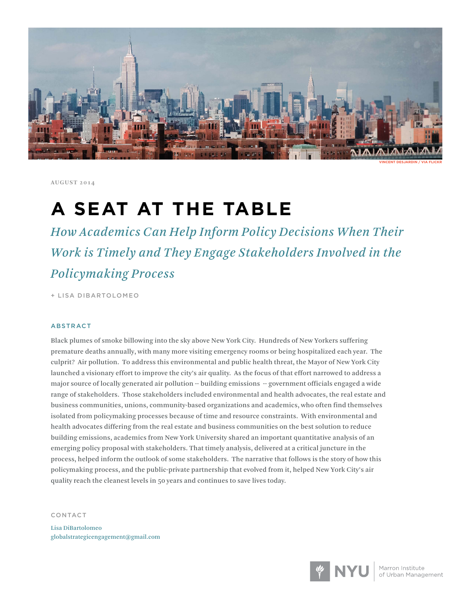

**august 2014**

## **A SEAT AT THE TABLE**

*How Academics Can Help Inform Policy Decisions When Their Work is Timely and They Engage Stakeholders Involved in the Policymaking Process*

+ Lisa DiBartolomeo

## ABSTRACT

Black plumes of smoke billowing into the sky above New York City. Hundreds of New Yorkers suffering premature deaths annually, with many more visiting emergency rooms or being hospitalized each year. The culprit? Air pollution. To address this environmental and public health threat, the Mayor of New York City launched a visionary effort to improve the city's air quality. As the focus of that effort narrowed to address a major source of locally generated air pollution -- building emissions -- government officials engaged a wide range of stakeholders. Those stakeholders included environmental and health advocates, the real estate and business communities, unions, community-based organizations and academics, who often find themselves isolated from policymaking processes because of time and resource constraints. With environmental and health advocates differing from the real estate and business communities on the best solution to reduce building emissions, academics from New York University shared an important quantitative analysis of an emerging policy proposal with stakeholders. That timely analysis, delivered at a critical juncture in the process, helped inform the outlook of some stakeholders. The narrative that follows is the story of how this policymaking process, and the public-private partnership that evolved from it, helped New York City's air quality reach the cleanest levels in 50 years and continues to save lives today.

CONTACT

Lisa DiBartolomeo globalstrategicengagement@gmail.com

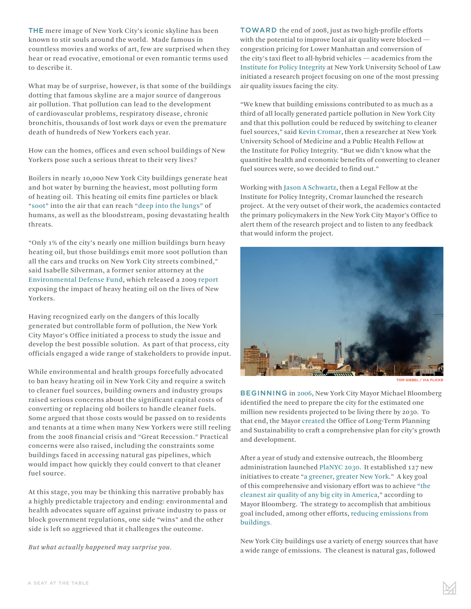THE mere image of New York City's iconic skyline has been known to stir souls around the world. Made famous in countless movies and works of art, few are surprised when they hear or read evocative, emotional or even romantic terms used to describe it.

What may be of surprise, however, is that some of the buildings dotting that famous skyline are a major source of dangerous air pollution. That pollution can lead to the development of cardiovascular problems, respiratory disease, chronic bronchitis, thousands of lost work days or even the premature death of hundreds of New Yorkers each year.

How can the homes, offices and even school buildings of New Yorkers pose such a serious threat to their very lives?

Boilers in nearly 10,000 New York City buildings generate heat and hot water by burning the heaviest, most polluting form of heating oil. This heating oil emits fine particles or black ["soot](http://policyintegrity.org/documents/ResidualRisks.pdf)" into the air that can reach "[deep into the lungs"](http://policyintegrity.org/documents/ResidualRisks.pdf) of humans, as well as the bloodstream, posing devastating health threats.

"Only 1% of the city's nearly one million buildings burn heavy heating oil, but those buildings emit more soot pollution than all the cars and trucks on New York City streets combined," said Isabelle Silverman, a former senior attorney at the [Environmental Defense Fund,](http://www.edf.org/sites/default/files/10085_EDF_Heating_Oil_Report.pdf) which released a 2009 [report](http://www.edf.org/sites/default/files/10085_EDF_Heating_Oil_Report.pdf) exposing the impact of heavy heating oil on the lives of New Yorkers.

Having recognized early on the dangers of this locally generated but controllable form of pollution, the New York City Mayor's Office initiated a process to study the issue and develop the best possible solution. As part of that process, city officials engaged a wide range of stakeholders to provide input.

While environmental and health groups forcefully advocated to ban heavy heating oil in New York City and require a switch to cleaner fuel sources, building owners and industry groups raised serious concerns about the significant capital costs of converting or replacing old boilers to handle cleaner fuels. Some argued that those costs would be passed on to residents and tenants at a time when many New Yorkers were still reeling from the 2008 financial crisis and "Great Recession." Practical concerns were also raised, including the constraints some buildings faced in accessing natural gas pipelines, which would impact how quickly they could convert to that cleaner fuel source.

At this stage, you may be thinking this narrative probably has a highly predictable trajectory and ending: environmental and health advocates square off against private industry to pass or block government regulations, one side "wins" and the other side is left so aggrieved that it challenges the outcome.

*But what actually happened may surprise you.* 

TOWARD the end of 2008, just as two high-profile efforts with the potential to improve local air quality were blocked congestion pricing for Lower Manhattan and conversion of the city's taxi fleet to all-hybrid vehicles — academics from the [Institute for Policy Integrity](http://policyintegrity.org) at New York University School of Law initiated a research project focusing on one of the most pressing air quality issues facing the city.

"We knew that building emissions contributed to as much as a third of all locally generated particle pollution in New York City and that this pollution could be reduced by switching to cleaner fuel sources," said [Kevin Cromar,](http://environmental-medicine.med.nyu.edu/research-divisions/our-labs/cromar-lab) then a researcher at New York University School of Medicine and a Public Health Fellow at the Institute for Policy Integrity. "But we didn't know what the quantitive health and economic benefits of converting to cleaner fuel sources were, so we decided to find out."

Working with [Jason A Schwartz](http://policyintegrity.org/about/people/), then a Legal Fellow at the Institute for Policy Integrity, Cromar launched the research project. At the very outset of their work, the academics contacted the primary policymakers in the New York City Mayor's Office to alert them of the research project and to listen to any feedback that would inform the project.



**TOM GIEBEL** 

BEGINNING in [2006,](http://www.nyc.gov/portal/site/nycgov/menuitem.c0935b9a57bb4ef3daf2f1c701c789a0/index.jsp?pageID=mayor_press_release&catID=1194&doc_name=http%3A%2F%2Fwww.nyc.gov%2Fhtml%2Fom%2Fhtml%2F2006b%2Fpr432-06.html&cc=unused1978&rc=1194&ndi=1) New York City Mayor Michael Bloomberg identified the need to prepare the city for the estimated one million new residents projected to be living there by 2030. To that end, the Mayor [created](http://www.nyc.gov/portal/site/nycgov/menuitem.c0935b9a57bb4ef3daf2f1c701c789a0/index.jsp?pageID=mayor_press_release&catID=1194&doc_name=http%3A%2F%2Fwww.nyc.gov%2Fhtml%2Fom%2Fhtml%2F2006b%2Fpr335-06.html&cc=unused1978&rc=1194&ndi=1) the Office of Long-Term Planning and Sustainability to craft a comprehensive plan for city's growth and development.

After a year of study and extensive outreach, the Bloomberg administration launched [PlaNYC 2030](http://s-media.nyc.gov/agencies/planyc2030/pdf/full_report_2007.pdf). It established 127 new initiatives to create ["a greener, greater New York.](http://www.nyc.gov/portal/site/nycgov/menuitem.c0935b9a57bb4ef3daf2f1c701c789a0/index.jsp?pageID=mayor_press_release&catID=1194&doc_name=http%3A%2F%2Fwww.nyc.gov%2Fhtml%2Fom%2Fhtml%2F2007a%2Fpr119-07.html&cc=unused1978&rc=1194&ndi=1)" A key goal of this comprehensive and visionary effort was to achieve "[the](http://www.nyc.gov/portal/site/nycgov/menuitem.c0935b9a57bb4ef3daf2f1c701c789a0/index.jsp?pageID=mayor_press_release&catID=1194&doc_name=http%3A%2F%2Fwww.nyc.gov%2Fhtml%2Fom%2Fhtml%2F2006b%2Fpr432-06.html&cc=unused1978&rc=1194&ndi=1)  [cleanest air quality of any big city in America](http://www.nyc.gov/portal/site/nycgov/menuitem.c0935b9a57bb4ef3daf2f1c701c789a0/index.jsp?pageID=mayor_press_release&catID=1194&doc_name=http%3A%2F%2Fwww.nyc.gov%2Fhtml%2Fom%2Fhtml%2F2006b%2Fpr432-06.html&cc=unused1978&rc=1194&ndi=1)," according to Mayor Bloomberg. The strategy to accomplish that ambitious goal included, among other efforts, [reducing emissions from](http://s-media.nyc.gov/agencies/planyc2030/pdf/full_report_2007.pdf)  [buildings](http://s-media.nyc.gov/agencies/planyc2030/pdf/full_report_2007.pdf).

New York City buildings use a variety of energy sources that have a wide range of emissions. The cleanest is natural gas, followed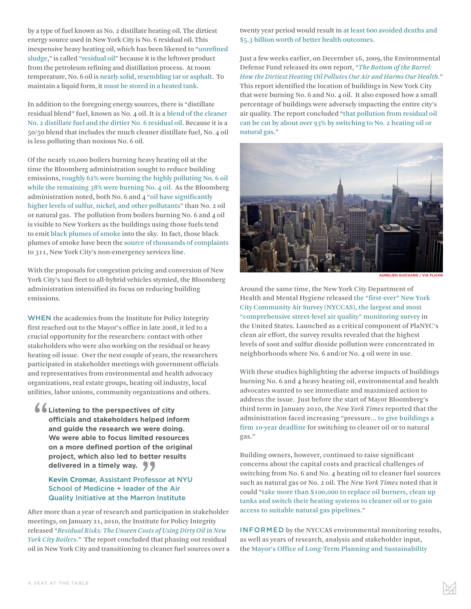by a type of fuel known as No. 2 distillate heating oil. The dirtiest energy source used in New York City is No. 6 residual oil. This inexpensive heavy heating oil, which has been likened to "[unrefined](http://www.edf.org/sites/default/files/10086_EDF_BottomBarrel_Exec_Summ.pdf)  [sludge,](http://www.edf.org/sites/default/files/10086_EDF_BottomBarrel_Exec_Summ.pdf)" is called "[residual oil"](http://policyintegrity.org/publications/detail/residual-risks/) because it is the leftover product from the petroleum refining and distillation process. At room temperature, No. 6 oil is [nearly solid, resembling tar or asphalt.](http://policyintegrity.org/files/publications/ResidualRisks.pdf) To maintain a liquid form, i[t must be stored in a heated tank.](http://www.edf.org/sites/default/files/10071_EDF_BottomBarrel_Ch3.pdf)

In addition to the foregoing energy sources, there is "distillate residual blend" fuel, known as No. 4 oil. It is a [blend of the cleaner](http://www.edf.org/sites/default/files/10071_EDF_BottomBarrel_Ch3.pdf)  [No. 2 distillate fuel and the dirtier No. 6 residual oil](http://www.edf.org/sites/default/files/10071_EDF_BottomBarrel_Ch3.pdf). Because it is a 50/50 blend that includes the much cleaner distillate fuel, No. 4 oil is less polluting than noxious No. 6 oil.

Of the nearly 10,000 boilers burning heavy heating oil at the time the Bloomberg administration sought to reduce building emissions, [roughly 62% were burning the highly polluting No. 6 oil](http://www.nyc.gov/html/dep/html/testimony/fy2011_intro94_05282010.shtml)  [while the remaining 38% were burning No. 4 oil.](http://www.nyc.gov/html/dep/html/testimony/fy2011_intro94_05282010.shtml) As the Bloomberg administration noted, both No. 6 and 4 ["oil have significantly](http://www.nyc.gov/portal/site/nycgov/menuitem.c0935b9a57bb4ef3daf2f1c701c789a0/index.jsp?pageID=mayor_press_release&catID=1194&doc_name=http%3A%2F%2Fwww.nyc.gov%2Fhtml%2Fom%2Fhtml%2F2011a%2Fpr034-11.html&cc=unused1978&rc=1194&ndi=1)  [higher levels of sulfur, nickel, and other pollutants](http://www.nyc.gov/portal/site/nycgov/menuitem.c0935b9a57bb4ef3daf2f1c701c789a0/index.jsp?pageID=mayor_press_release&catID=1194&doc_name=http%3A%2F%2Fwww.nyc.gov%2Fhtml%2Fom%2Fhtml%2F2011a%2Fpr034-11.html&cc=unused1978&rc=1194&ndi=1)" than No. 2 oil or natural gas. The pollution from boilers burning No. 6 and 4 oil is visible to New Yorkers as the buildings using those fuels tend to emit [black plumes of smoke](http://www.edf.org/sites/default/files/10086_EDF_BottomBarrel_Exec_Summ.pdf) into the sky. In fact, those black plumes of smoke have been the [source of thousands of complaints](http://www.nyc.gov/html/dep/html/testimony/fy2011_intro94_05282010.shtml) to 311, New York City's non-emergency services line.

With the proposals for congestion pricing and conversion of New York City's taxi fleet to all-hybrid vehicles stymied, the Bloomberg administration intensified its focus on reducing building emissions.

WHEN the academics from the Institute for Policy Integrity first reached out to the Mayor's office in late 2008, it led to a crucial opportunity for the researchers: contact with other stakeholders who were also working on the residual or heavy heating oil issue. Over the next couple of years, the researchers participated in stakeholder meetings with government officials and representatives from environmental and health advocacy organizations, real estate groups, heating oil industry, local utilities, labor unions, community organizations and others.

**Listening to the perspectives of city officials and stakeholders helped inform and guide the research we were doing. We were able to focus limited resources on a more defined portion of the original project, which also led to better results delivered in a timely way.** "

## **[Kevin Croma](http://environmental-medicine.med.nyu.edu/research-divisions/our-labs/cromar-lab)**r, Assistant Professor at NYU School of Medicine + leader of the Air Quality Initiative at the Marron Institute Sette<br>
99<br>
ofess<br>
er of t

After more than a year of research and participation in stakeholder meetings, on January 21, 2010, the Institute for Policy Integrity released "*[Residual Risks: The Unseen Costs of Using Dirty Oil in New](http://policyintegrity.org/publications/detail/residual-risks/)  [York City Boilers](http://policyintegrity.org/publications/detail/residual-risks/)*." The report concluded that phasing out residual oil in New York City and transitioning to cleaner fuel sources over a twenty year period would result in [at least 600 avoided deaths and](http://policyintegrity.org/files/publications/ResidualRisks.pdf)  [\\$5.3 billion worth of better health outcomes.](http://policyintegrity.org/files/publications/ResidualRisks.pdf)

Just a few weeks earlier, on December 16, 2009, the Environmental Defense Fund released its own report, "*[The Bottom of the Barrel:](https://www.edf.org/sites/default/files/10085_EDF_Heating_Oil_Report.pdf)  [How the Dirtiest Heating Oil Pollutes Our Air and Harms Our Health](https://www.edf.org/sites/default/files/10085_EDF_Heating_Oil_Report.pdf)*." This report identified the location of buildings in New York City that were burning No. 6 and No. 4 oil. It also exposed how a small percentage of buildings were adversely impacting the entire city's air quality. The report concluded ["that pollution from residual oil](https://www.edf.org/sites/default/files/10085_EDF_Heating_Oil_Report.pdf)  [can be cut by about over 93% by switching to No. 2 heating oil or](https://www.edf.org/sites/default/files/10085_EDF_Heating_Oil_Report.pdf)  [natural gas.](https://www.edf.org/sites/default/files/10085_EDF_Heating_Oil_Report.pdf)"



 **[Aurelien Guichard / via flickr](https://www.flickr.com/photos/aguichard/4856943318/in/photolist-8CZkZ7-8oHX2s-8pc733-8o7jgF-8nTEXJ-8oENdp-8oELqx-8oatsm-8oERtB-8oEQhZ-8nQpyT-8oEP9B-8oJ4Xw-8oESR8-8nTwRf-8oHV2A-8oFaWx-8nTKTC-8nTG8C-8ooq2f-8nQzLc-8oon6d-8p8SJX-8nQsxe-8oFc9n-8oJky9-8nTCnE-8oFfZP-8oar6s-8okcpD-8oka7X-8o7f4V-8o7gGe-8o7hXv-8oas1A-8ooiFh-8ok9at-8oakCL-8oapaN-8oaokm-8o7cdz-8nTH5E-8oamrj-8oanMS-8okaLe-8oF6Ma-8oEVig-8nTzMW-8oF5se-8oJjnE)**

Around the same time, the New York City Department of Health and Mental Hygiene released [the "first-ever" New York](http://www.nyc.gov/portal/site/nycgov/menuitem.c0935b9a57bb4ef3daf2f1c701c789a0/index.jsp?pageID=mayor_press_release&catID=1194&doc_name=http%3A%2F%2Fwww.nyc.gov%2Fhtml%2Fom%2Fhtml%2F2009b%2Fpr538-09.html&cc=unused1978&rc=1194&ndi=1)  [City Community Air Survey \(NYCCAS\), the largest and most](http://www.nyc.gov/portal/site/nycgov/menuitem.c0935b9a57bb4ef3daf2f1c701c789a0/index.jsp?pageID=mayor_press_release&catID=1194&doc_name=http%3A%2F%2Fwww.nyc.gov%2Fhtml%2Fom%2Fhtml%2F2009b%2Fpr538-09.html&cc=unused1978&rc=1194&ndi=1)  ["comprehensive street-level air quality" monitoring survey](http://www.nyc.gov/portal/site/nycgov/menuitem.c0935b9a57bb4ef3daf2f1c701c789a0/index.jsp?pageID=mayor_press_release&catID=1194&doc_name=http%3A%2F%2Fwww.nyc.gov%2Fhtml%2Fom%2Fhtml%2F2009b%2Fpr538-09.html&cc=unused1978&rc=1194&ndi=1) in the United States. Launched as a critical component of PlaNYC's clean air effort, the survey results revealed that the highest levels of soot and sulfur dioxide pollution were concentrated in neighborhoods where No. 6 and/or No. 4 oil were in use.

With these studies highlighting the adverse impacts of buildings burning No. 6 and 4 heavy heating oil, environmental and health advocates wanted to see immediate and maximized action to address the issue. Just before the start of Mayor Bloomberg's third term in January 2010, the *New York Times* reported that the administration faced increasing "pressure… [to give buildings a](http://www.nytimes.com/2010/01/01/science/earth/01pollute.html)  [firm 10-year deadline](http://www.nytimes.com/2010/01/01/science/earth/01pollute.html) for switching to cleaner oil or to natural gas."

Building owners, however, continued to raise significant concerns about the capital costs and practical challenges of switching from No. 6 and No. 4 heating oil to cleaner fuel sources such as natural gas or No. 2 oil. The *New York Times* noted that it could "[take more than \\$100,000 to replace oil burners, clean up](http://www.nytimes.com/2010/01/01/science/earth/01pollute.html)  [tanks and switch their heating systems to cleaner oil or to gain](http://www.nytimes.com/2010/01/01/science/earth/01pollute.html)  [access to suitable natural gas pipelines](http://www.nytimes.com/2010/01/01/science/earth/01pollute.html)."

INFORMED by the NYCCAS environmental monitoring results, as well as years of research, analysis and stakeholder input, the [Mayor's Office of Long-Term Planning and Sustainability](http://www.nyc.gov/html/dep/html/testimony/fy2011_intro94_05282010.shtml)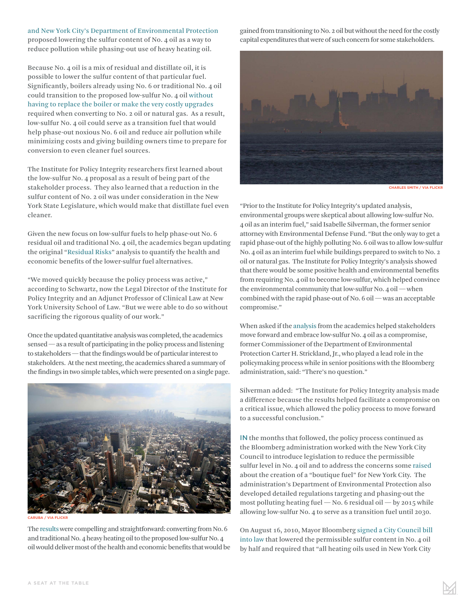[and New York City's Department of Environmental Protection](http://www.nyc.gov/html/dep/html/testimony/fy2011_intro94_05282010.shtml) proposed lowering the sulfur content of No. 4 oil as a way to reduce pollution while phasing-out use of heavy heating oil.

Because No. 4 oil is a mix of residual and distillate oil, it is possible to lower the sulfur content of that particular fuel. Significantly, boilers already using No. 6 or traditional No. 4 oil could transition to the proposed low-sulfur No. 4 oil [without](http://www.nyc.gov/html/dep/html/testimony/fy2011_intro94_05282010.shtml)  [having to replace the boiler or make the very costly upgrades](http://www.nyc.gov/html/dep/html/testimony/fy2011_intro94_05282010.shtml)  required when converting to No. 2 oil or natural gas. As a result, low-sulfur No. 4 oil could serve as a transition fuel that would help phase-out noxious No. 6 oil and reduce air pollution while minimizing costs and giving building owners time to prepare for conversion to even cleaner fuel sources.

The Institute for Policy Integrity researchers first learned about the low-sulfur No. 4 proposal as a result of being part of the stakeholder process. They also learned that a reduction in the sulfur content of No. 2 oil was under consideration in the New York State Legislature, which would make that distillate fuel even cleaner.

Given the new focus on low-sulfur fuels to help phase-out No. 6 residual oil and traditional No. 4 oil, the academics began updating the original "[Residual Risks](http://policyintegrity.org/publications/detail/residual-risks/)" analysis to quantify the health and economic benefits of the lower-sulfur fuel alternatives.

"We moved quickly because the policy process was active," according to Schwartz, now the Legal Director of the Institute for Policy Integrity and an Adjunct Professor of Clinical Law at New York University School of Law. "But we were able to do so without sacrificing the rigorous quality of our work."

Once the updated quantitative analysis was completed, the academics sensed — as a result of participating in the policy process and listening to stakeholders — that the findings would be of particular interest to stakeholders. At the next meeting, the academics shared a summary of the findings in two simple tables, which were presented on a single page.



**[caruba / via flickr](https://www.flickr.com/photos/denial_land/3883242306/in/photolist-9SpKqS-79FB7L-79SLeE-9bjqUo-dj5TFg-dwkJzJ-dwkJWL-eaHfPn-hw5adE-atMyPa-9bgKKx-6V9CDy-4Ac4yn-9hwYuV-dd3KAh-dhWtXi-dwfd4n-aFUHTa-fBJCM7-7VjR63-jixa7x-4YWgPy-hw5ARG-3QAzMQ-accF2s-5wk68e-npQD9i-fG1qz7-iVTzwE-k74UEQ-fDpXP3-6rP1RC-52pAB5-4Ch9ed-9sT8ev-6XJkLo-4ZCoKa-auww6j-hNwMso-9QBM1v-67hybS-79ScUA-kcB6af-hucqWR-nzfhgF-dwfdnD-551MsG-e2MXEb-bBuiFB-aCSJDd)**

The [results](http://policyintegrity.org/files/publications/More_Residual_Risks.pdf)were compelling and straightforward: converting from No. 6 and traditional No. 4 heavy heating oil to the proposed low-sulfur No. 4 oil would deliver most of the health and economic benefits that would be gained from transitioning to No. 2 oil but without the need for the costly capital expenditures that were of such concern for some stakeholders.



"Prior to the Institute for Policy Integrity's updated analysis, environmental groups were skeptical about allowing low-sulfur No. 4 oil as an interim fuel," said Isabelle Silverman, the former senior attorney with Environmental Defense Fund. "But the only way to get a rapid phase-out of the highly polluting No. 6 oil was to allow low-sulfur No. 4 oil as an interim fuel while buildings prepared to switch to No. 2 oil or natural gas. The Institute for Policy Integrity's analysis showed that there would be some positive health and environmental benefits from requiring No. 4 oil to become low-sulfur, which helped convince the environmental community that low-sulfur No. 4 oil — when combined with the rapid phase-out of No. 6 oil — was an acceptable compromise."

When asked if the [analysis](http://policyintegrity.org/files/publications/More_Residual_Risks.pdf) from the academics helped stakeholders move forward and embrace low-sulfur No. 4 oil as a compromise, former Commissioner of the Department of Environmental Protection Carter H. Strickland, Jr., who played a lead role in the policymaking process while in senior positions with the Bloomberg administration, said: "There's no question."

Silverman added: "The Institute for Policy Integrity analysis made a difference because the results helped facilitate a compromise on a critical issue, which allowed the policy process to move forward to a successful conclusion."

IN the months that followed, the policy process continued as the Bloomberg administration worked with the New York City Council to introduce legislation to reduce the permissible sulfur level in No. 4 oil and to address the concerns some [raised](http://www.nyc.gov/html/dep/html/testimony/fy2011_intro94_05282010.shtml) about the creation of a "boutique fuel" for New York City. The administration's Department of Environmental Protection also developed detailed regulations targeting and phasing-out the most polluting heating fuel  $-$  No. 6 residual oil  $-$  by 2015 while allowing low-sulfur No. 4 to serve as a transition fuel until 2030.

On August 16, 2010, Mayor Bloomberg [signed a City Council bill](http://www.nyc.gov/html/om/html/2010b/pr358-10.html)  [into law](http://www.nyc.gov/html/om/html/2010b/pr358-10.html) that lowered the permissible sulfur content in No. 4 oil by half and required that "all heating oils used in New York City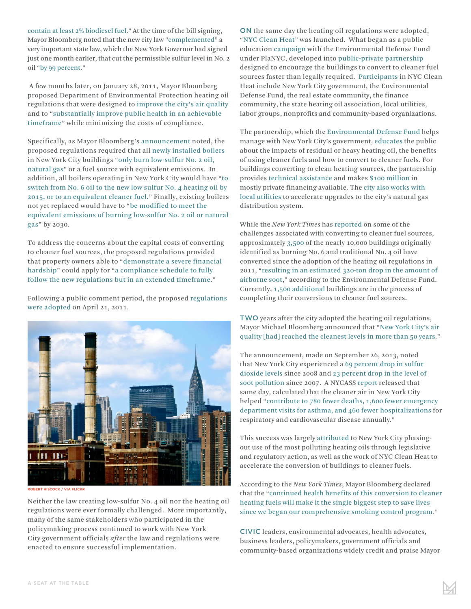[contain at least 2% biodiesel fuel."](http://www1.nyc.gov/office-of-the-mayor/news/358-10/mayor-bloomberg-signs-legislation-promote-use-clean-heating-oil) At the time of the bill signing, Mayor Bloomberg noted that the new city law "[complemented](http://www1.nyc.gov/office-of-the-mayor/news/358-10/mayor-bloomberg-signs-legislation-promote-use-clean-heating-oil)" a very important state law, which the New York Governor had signed just one month earlier, that cut the permissible sulfur level in No. 2 oil ["by 99 percent.](http://www1.nyc.gov/office-of-the-mayor/news/358-10/mayor-bloomberg-signs-legislation-promote-use-clean-heating-oil)"

A few months later, on January 28, 2011, Mayor Bloomberg proposed Department of Environmental Protection heating oil regulations that were designed to [improve the city's air quality](http://www.nyc.gov/portal/site/nycgov/menuitem.c0935b9a57bb4ef3daf2f1c701c789a0/index.jsp?pageID=mayor_press_release&catID=1194&doc_name=http%3A%2F%2Fwww.nyc.gov%2Fhtml%2Fom%2Fhtml%2F2011a%2Fpr034-11.html&cc=unused1978&rc=1194&ndi=1)  and to "[substantially improve public health in an achievable](http://www.nyc.gov/portal/site/nycgov/menuitem.c0935b9a57bb4ef3daf2f1c701c789a0/index.jsp?pageID=mayor_press_release&catID=1194&doc_name=http%3A%2F%2Fwww.nyc.gov%2Fhtml%2Fom%2Fhtml%2F2011a%2Fpr034-11.html&cc=unused1978&rc=1194&ndi=1)  [timeframe](http://www.nyc.gov/portal/site/nycgov/menuitem.c0935b9a57bb4ef3daf2f1c701c789a0/index.jsp?pageID=mayor_press_release&catID=1194&doc_name=http%3A%2F%2Fwww.nyc.gov%2Fhtml%2Fom%2Fhtml%2F2011a%2Fpr034-11.html&cc=unused1978&rc=1194&ndi=1)" while minimizing the costs of compliance.

Specifically, as Mayor Bloomberg's [announcement](http://www.nyc.gov/portal/site/nycgov/menuitem.c0935b9a57bb4ef3daf2f1c701c789a0/index.jsp?pageID=mayor_press_release&catID=1194&doc_name=http%3A%2F%2Fwww.nyc.gov%2Fhtml%2Fom%2Fhtml%2F2011a%2Fpr034-11.html&cc=unused1978&rc=1194&ndi=1) noted, the proposed regulations required that all [newly installed boilers](http://www.nyc.gov/portal/site/nycgov/menuitem.c0935b9a57bb4ef3daf2f1c701c789a0/index.jsp?pageID=mayor_press_release&catID=1194&doc_name=http%3A%2F%2Fwww.nyc.gov%2Fhtml%2Fom%2Fhtml%2F2011a%2Fpr034-11.html&cc=unused1978&rc=1194&ndi=1) in New York City buildings "[only burn low-sulfur No. 2 oil,](http://www.nyc.gov/portal/site/nycgov/menuitem.c0935b9a57bb4ef3daf2f1c701c789a0/index.jsp?pageID=mayor_press_release&catID=1194&doc_name=http%3A%2F%2Fwww.nyc.gov%2Fhtml%2Fom%2Fhtml%2F2011a%2Fpr034-11.html&cc=unused1978&rc=1194&ndi=1)  [natural gas"](http://www.nyc.gov/portal/site/nycgov/menuitem.c0935b9a57bb4ef3daf2f1c701c789a0/index.jsp?pageID=mayor_press_release&catID=1194&doc_name=http%3A%2F%2Fwww.nyc.gov%2Fhtml%2Fom%2Fhtml%2F2011a%2Fpr034-11.html&cc=unused1978&rc=1194&ndi=1) or a fuel source with equivalent emissions. In addition, all boilers operating in New York City would have ["to](http://www.nyc.gov/portal/site/nycgov/menuitem.c0935b9a57bb4ef3daf2f1c701c789a0/index.jsp?pageID=mayor_press_release&catID=1194&doc_name=http%3A%2F%2Fwww.nyc.gov%2Fhtml%2Fom%2Fhtml%2F2011a%2Fpr034-11.html&cc=unused1978&rc=1194&ndi=1)  [switch from No. 6 oil to the new low sulfur No. 4 heating oil by](http://www.nyc.gov/portal/site/nycgov/menuitem.c0935b9a57bb4ef3daf2f1c701c789a0/index.jsp?pageID=mayor_press_release&catID=1194&doc_name=http%3A%2F%2Fwww.nyc.gov%2Fhtml%2Fom%2Fhtml%2F2011a%2Fpr034-11.html&cc=unused1978&rc=1194&ndi=1)  [2015, or to an equivalent cleaner fuel.](http://www.nyc.gov/portal/site/nycgov/menuitem.c0935b9a57bb4ef3daf2f1c701c789a0/index.jsp?pageID=mayor_press_release&catID=1194&doc_name=http%3A%2F%2Fwww.nyc.gov%2Fhtml%2Fom%2Fhtml%2F2011a%2Fpr034-11.html&cc=unused1978&rc=1194&ndi=1)" Finally, existing boilers not yet replaced would have to "[be modified to meet the](http://www.nyc.gov/portal/site/nycgov/menuitem.c0935b9a57bb4ef3daf2f1c701c789a0/index.jsp?pageID=mayor_press_release&catID=1194&doc_name=http%3A%2F%2Fwww.nyc.gov%2Fhtml%2Fom%2Fhtml%2F2011a%2Fpr034-11.html&cc=unused1978&rc=1194&ndi=1)  [equivalent emissions of burning low-sulfur No. 2 oil or natural](http://www.nyc.gov/portal/site/nycgov/menuitem.c0935b9a57bb4ef3daf2f1c701c789a0/index.jsp?pageID=mayor_press_release&catID=1194&doc_name=http%3A%2F%2Fwww.nyc.gov%2Fhtml%2Fom%2Fhtml%2F2011a%2Fpr034-11.html&cc=unused1978&rc=1194&ndi=1)  [gas"](http://www.nyc.gov/portal/site/nycgov/menuitem.c0935b9a57bb4ef3daf2f1c701c789a0/index.jsp?pageID=mayor_press_release&catID=1194&doc_name=http%3A%2F%2Fwww.nyc.gov%2Fhtml%2Fom%2Fhtml%2F2011a%2Fpr034-11.html&cc=unused1978&rc=1194&ndi=1) by 2030.

To address the concerns about the capital costs of converting to cleaner fuel sources, the proposed regulations provided that property owners able to "[demonstrate a severe financial](http://www.nyc.gov/portal/site/nycgov/menuitem.c0935b9a57bb4ef3daf2f1c701c789a0/index.jsp?pageID=mayor_press_release&catID=1194&doc_name=http%3A%2F%2Fwww.nyc.gov%2Fhtml%2Fom%2Fhtml%2F2011a%2Fpr034-11.html&cc=unused1978&rc=1194&ndi=1)  [hardship](http://www.nyc.gov/portal/site/nycgov/menuitem.c0935b9a57bb4ef3daf2f1c701c789a0/index.jsp?pageID=mayor_press_release&catID=1194&doc_name=http%3A%2F%2Fwww.nyc.gov%2Fhtml%2Fom%2Fhtml%2F2011a%2Fpr034-11.html&cc=unused1978&rc=1194&ndi=1)" could apply for "[a compliance schedule to fully](http://www.nyc.gov/portal/site/nycgov/menuitem.c0935b9a57bb4ef3daf2f1c701c789a0/index.jsp?pageID=mayor_press_release&catID=1194&doc_name=http%3A%2F%2Fwww.nyc.gov%2Fhtml%2Fom%2Fhtml%2F2011a%2Fpr034-11.html&cc=unused1978&rc=1194&ndi=1)  [follow the new regulations but in an extended timeframe.](http://www.nyc.gov/portal/site/nycgov/menuitem.c0935b9a57bb4ef3daf2f1c701c789a0/index.jsp?pageID=mayor_press_release&catID=1194&doc_name=http%3A%2F%2Fwww.nyc.gov%2Fhtml%2Fom%2Fhtml%2F2011a%2Fpr034-11.html&cc=unused1978&rc=1194&ndi=1)"

Following a public comment period, the proposed [regulations](http://www.nyc.gov/portal/site/nycgov/menuitem.c0935b9a57bb4ef3daf2f1c701c789a0/index.jsp?pageID=mayor_press_release&catID=1194&doc_name=http%3A%2F%2Fwww.nyc.gov%2Fhtml%2Fom%2Fhtml%2F2011a%2Fpr129-11.html&cc=unused1978&rc=1194&ndi=1)  [were adopted](http://www.nyc.gov/portal/site/nycgov/menuitem.c0935b9a57bb4ef3daf2f1c701c789a0/index.jsp?pageID=mayor_press_release&catID=1194&doc_name=http%3A%2F%2Fwww.nyc.gov%2Fhtml%2Fom%2Fhtml%2F2011a%2Fpr129-11.html&cc=unused1978&rc=1194&ndi=1) on April 21, 2011.



**[Robert Hiscock / Via flickr](https://www.flickr.com/photos/rjproduct/9456813635/in/photolist-fpEDdX-497Uog-8qiBE-sn4Qm-7JahCL-76HJAm-6BCb32-88gZjY-c2bF27-4KNNg8-6WVJJd-5Q9Xm7-3Pd8xa-5DrGPN-5iqpZC-b7DiEp-dcCqX-8jACvs-4j4Dmn-f7a1Er-aCkNEn-2zgLQt-bSQMFt-7jek4p-boBLWW-fNVDtx-nVujFx-ocXPKn-ocTL3Y-c6hvUQ-5ZtmwQ-bdTNqV-BFFjw-7f4TFf-5iLV5v-8HN847-4K9chc-eLucnz-6XtBc5-2TL5qL-6MndB9-4K9c5X-4K9cka-6TjyZK-4KdrWJ-dthbUR-acLso8-4K9ceT-4KdrXW-4K9cgc)**

Neither the law creating low-sulfur No. 4 oil nor the heating oil regulations were ever formally challenged. More importantly, many of the same stakeholders who participated in the policymaking process continued to work with New York City government officials *after* the law and regulations were enacted to ensure successful implementation.

ON the same day the heating oil regulations were adopted, ["NYC Clean Heat](http://www.nyc.gov/portal/site/nycgov/menuitem.c0935b9a57bb4ef3daf2f1c701c789a0/index.jsp?pageID=mayor_press_release&catID=1194&doc_name=http%3A%2F%2Fwww.nyc.gov%2Fhtml%2Fom%2Fhtml%2F2011a%2Fpr129-11.html&cc=unused1978&rc=1194&ndi=1)" was launched. What began as a public education [campaign](http://www.nyc.gov/portal/site/nycgov/menuitem.c0935b9a57bb4ef3daf2f1c701c789a0/index.jsp?pageID=mayor_press_release&catID=1194&doc_name=http%3A%2F%2Fwww.nyc.gov%2Fhtml%2Fom%2Fhtml%2F2011a%2Fpr129-11.html&cc=unused1978&rc=1194&ndi=1) with the Environmental Defense Fund under PlaNYC, developed into [public-private partnership](http://www.nyc.gov/portal/site/nycgov/menuitem.c0935b9a57bb4ef3daf2f1c701c789a0/index.jsp?pageID=mayor_press_release&catID=1194&doc_name=http%3A%2F%2Fwww.nyc.gov%2Fhtml%2Fom%2Fhtml%2F2012a%2Fpr212-12.html&cc=unused1978&rc=1194&ndi=1) designed to encourage the buildings to convert to cleaner fuel sources faster than legally required. [Participants](https://www.nyccleanheat.org/content/partners-and-sponsors) in NYC Clean Heat include New York City government, the Environmental Defense Fund, the real estate community, the finance community, the state heating oil association, local utilities, labor groups, nonprofits and community-based organizations.

The partnership, which the [Environmental Defense Fund](http://www.edf.org/cleanheat) helps manage with New York City's government, [educates](http://www.nyc.gov/portal/site/nycgov/menuitem.c0935b9a57bb4ef3daf2f1c701c789a0/index.jsp?pageID=mayor_press_release&catID=1194&doc_name=http%3A%2F%2Fwww.nyc.gov%2Fhtml%2Fom%2Fhtml%2F2012a%2Fpr212-12.html&cc=unused1978&rc=1194&ndi=1) the public about the impacts of residual or heavy heating oil, the benefits of using cleaner fuels and how to convert to cleaner fuels. For buildings converting to clean heating sources, the partnership provides [technical assistance](http://www.nyc.gov/portal/site/nycgov/menuitem.c0935b9a57bb4ef3daf2f1c701c789a0/index.jsp?pageID=mayor_press_release&catID=1194&doc_name=http%3A%2F%2Fwww.nyc.gov%2Fhtml%2Fom%2Fhtml%2F2012a%2Fpr212-12.html&cc=unused1978&rc=1194&ndi=1) and makes [\\$100 million](http://www.nyc.gov/portal/site/nycgov/menuitem.c0935b9a57bb4ef3daf2f1c701c789a0/index.jsp?pageID=mayor_press_release&catID=1194&doc_name=http%3A%2F%2Fwww.nyc.gov%2Fhtml%2Fom%2Fhtml%2F2012a%2Fpr212-12.html&cc=unused1978&rc=1194&ndi=1) in mostly private financing available. The [city also works with](http://www.nyc.gov/portal/site/nycgov/menuitem.c0935b9a57bb4ef3daf2f1c701c789a0/index.jsp?pageID=mayor_press_release&catID=1194&doc_name=http%3A%2F%2Fwww.nyc.gov%2Fhtml%2Fom%2Fhtml%2F2012a%2Fpr212-12.html&cc=unused1978&rc=1194&ndi=1)  [local utilities t](http://www.nyc.gov/portal/site/nycgov/menuitem.c0935b9a57bb4ef3daf2f1c701c789a0/index.jsp?pageID=mayor_press_release&catID=1194&doc_name=http%3A%2F%2Fwww.nyc.gov%2Fhtml%2Fom%2Fhtml%2F2012a%2Fpr212-12.html&cc=unused1978&rc=1194&ndi=1)o accelerate upgrades to the city's natural gas distribution system.

While the *New York Times* has [reported](http://www.nytimes.com/2014/04/07/nyregion/cost-among-hurdles-slowing-new-yorks-plan-to-phase-out-dirty-heating-oil.html) on some of the challenges associated with converting to cleaner fuel sources, approximately [3,500](http://blogs.edf.org/energyexchange/2014/05/08/new-case-study-collaboration-was-key-in-nyc-clean-heat-success/%3F_ga%3D1.21827003.1672742892.1401885126) of the nearly 10,000 buildings originally identified as burning No. 6 and traditional No. 4 oil have converted since the adoption of the heating oil regulations in 2011, ["resulting in an estimated 320-ton drop in the amount of](http://blogs.edf.org/energyexchange/2014/05/08/new-case-study-collaboration-was-key-in-nyc-clean-heat-success/%3F_ga%3D1.21827003.1672742892.1401885126)  [airborne soot](http://blogs.edf.org/energyexchange/2014/05/08/new-case-study-collaboration-was-key-in-nyc-clean-heat-success/%3F_ga%3D1.21827003.1672742892.1401885126)," according to the Environmental Defense Fund. Currently, [1,500 additional](http://www.intersector.com/case-studies/environmental-conservation/item/clean-air.html) buildings are in the process of completing their conversions to cleaner fuel sources.

TWO years after the city adopted the heating oil regulations, Mayor Michael Bloomberg announced that "[New York City's air](http://www1.nyc.gov/office-of-the-mayor/news/311-13/mayor-bloomberg-new-york-city-s-air-quality-has-reached-cleanest-levels-more-than%23/0)  [quality \[had\] reached the cleanest levels in more than 50 years.](http://www1.nyc.gov/office-of-the-mayor/news/311-13/mayor-bloomberg-new-york-city-s-air-quality-has-reached-cleanest-levels-more-than%23/0)"

The announcement, made on September 26, 2013, noted that New York City experienced a [69 percent drop in sulfur](http://www1.nyc.gov/office-of-the-mayor/news/311-13/mayor-bloomberg-new-york-city-s-air-quality-has-reached-cleanest-levels-more-than%23/0)  [dioxide levels](http://www1.nyc.gov/office-of-the-mayor/news/311-13/mayor-bloomberg-new-york-city-s-air-quality-has-reached-cleanest-levels-more-than%23/0) since 2008 and [23 percent drop in the level of](http://www1.nyc.gov/office-of-the-mayor/news/311-13/mayor-bloomberg-new-york-city-s-air-quality-has-reached-cleanest-levels-more-than%23/0)  [soot pollution](http://www1.nyc.gov/office-of-the-mayor/news/311-13/mayor-bloomberg-new-york-city-s-air-quality-has-reached-cleanest-levels-more-than%23/0) since 2007. A NYCASS [report](http://www.nyc.gov/html/doh/downloads/pdf/environmental/air-quality-report-2013.pdf) released that same day, calculated that the cleaner air in New York City helped "[contribute to 780 fewer deaths, 1,600 fewer emergency](http://www.nyc.gov/html/doh/downloads/pdf/environmental/air-quality-report-2013.pdf)  [department visits for asthma, and 460 fewer hospitalizations](http://www.nyc.gov/html/doh/downloads/pdf/environmental/air-quality-report-2013.pdf) for respiratory and cardiovascular disease annually."

This success was largely [attributed](http://www.nyc.gov/html/doh/downloads/pdf/environmental/air-quality-report-2013.pdf) to New York City phasingout use of the most polluting heating oils through legislative and regulatory action, as well as the work of NYC Clean Heat to accelerate the conversion of buildings to cleaner fuels.

According to the *New York Times*, Mayor Bloomberg declared that the ["continued health benefits of this conversion to cleaner](http://www.nytimes.com/2013/09/27/nyregion/new-yorks-air-is-cleanest-in-50-years-survey-finds.html)  [heating fuels will make it the single biggest step to save lives](http://www.nytimes.com/2013/09/27/nyregion/new-yorks-air-is-cleanest-in-50-years-survey-finds.html)  [since we began our comprehensive smoking control program.](http://www.nytimes.com/2013/09/27/nyregion/new-yorks-air-is-cleanest-in-50-years-survey-finds.html)"

CIVIC leaders, environmental advocates, health advocates, business leaders, policymakers, government officials and community-based organizations widely credit and praise Mayor